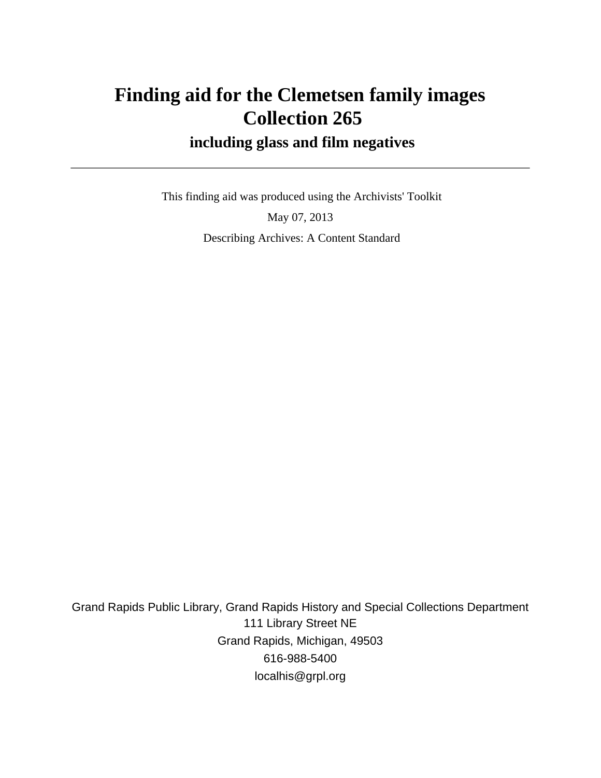# **Finding aid for the Clemetsen family images Collection 265**

### **including glass and film negatives**

 This finding aid was produced using the Archivists' Toolkit May 07, 2013 Describing Archives: A Content Standard

Grand Rapids Public Library, Grand Rapids History and Special Collections Department 111 Library Street NE Grand Rapids, Michigan, 49503 616-988-5400 localhis@grpl.org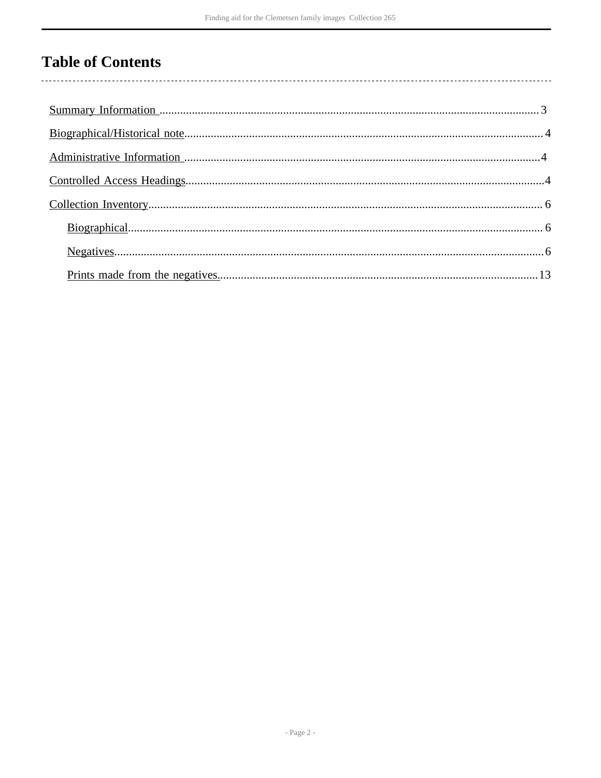# **Table of Contents**

 $\overline{\phantom{a}}$ 

| $Biographical. 66$ |  |
|--------------------|--|
|                    |  |
|                    |  |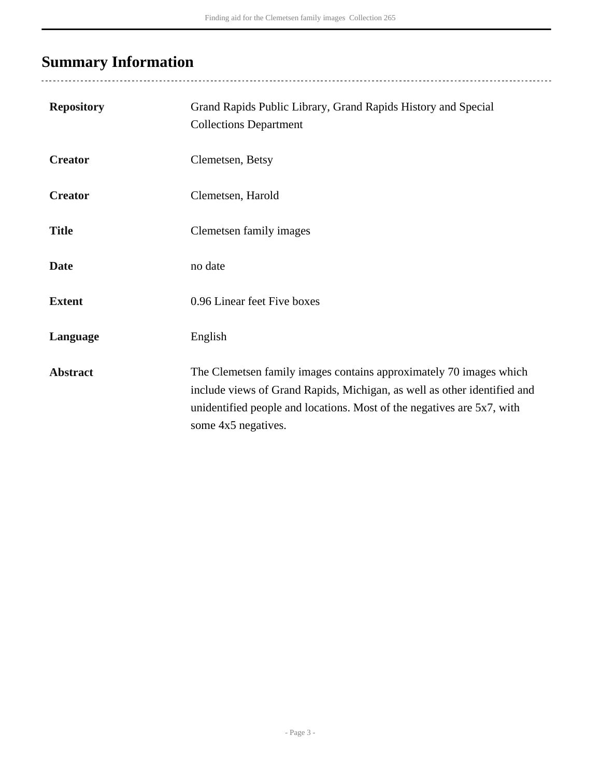# <span id="page-2-0"></span>**Summary Information**

| <b>Repository</b> | Grand Rapids Public Library, Grand Rapids History and Special<br><b>Collections Department</b>                                                                                                                                                  |
|-------------------|-------------------------------------------------------------------------------------------------------------------------------------------------------------------------------------------------------------------------------------------------|
| <b>Creator</b>    | Clemetsen, Betsy                                                                                                                                                                                                                                |
| <b>Creator</b>    | Clemetsen, Harold                                                                                                                                                                                                                               |
| <b>Title</b>      | Clemetsen family images                                                                                                                                                                                                                         |
| <b>Date</b>       | no date                                                                                                                                                                                                                                         |
| <b>Extent</b>     | 0.96 Linear feet Five boxes                                                                                                                                                                                                                     |
| Language          | English                                                                                                                                                                                                                                         |
| <b>Abstract</b>   | The Clemetsen family images contains approximately 70 images which<br>include views of Grand Rapids, Michigan, as well as other identified and<br>unidentified people and locations. Most of the negatives are 5x7, with<br>some 4x5 negatives. |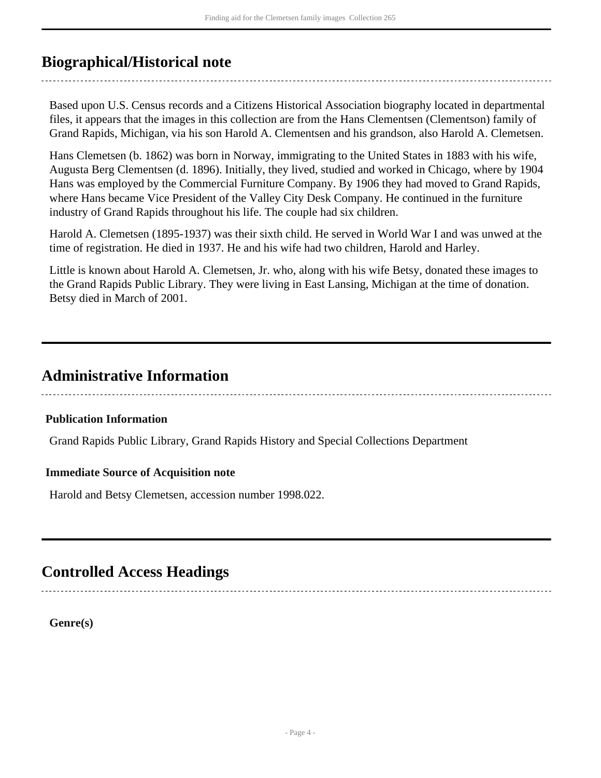### <span id="page-3-0"></span>**Biographical/Historical note**

Based upon U.S. Census records and a Citizens Historical Association biography located in departmental files, it appears that the images in this collection are from the Hans Clementsen (Clementson) family of Grand Rapids, Michigan, via his son Harold A. Clementsen and his grandson, also Harold A. Clemetsen.

Hans Clemetsen (b. 1862) was born in Norway, immigrating to the United States in 1883 with his wife, Augusta Berg Clementsen (d. 1896). Initially, they lived, studied and worked in Chicago, where by 1904 Hans was employed by the Commercial Furniture Company. By 1906 they had moved to Grand Rapids, where Hans became Vice President of the Valley City Desk Company. He continued in the furniture industry of Grand Rapids throughout his life. The couple had six children.

Harold A. Clemetsen (1895-1937) was their sixth child. He served in World War I and was unwed at the time of registration. He died in 1937. He and his wife had two children, Harold and Harley.

Little is known about Harold A. Clemetsen, Jr. who, along with his wife Betsy, donated these images to the Grand Rapids Public Library. They were living in East Lansing, Michigan at the time of donation. Betsy died in March of 2001.

### <span id="page-3-1"></span>**Administrative Information**

#### **Publication Information**

Grand Rapids Public Library, Grand Rapids History and Special Collections Department

#### **Immediate Source of Acquisition note**

Harold and Betsy Clemetsen, accession number 1998.022.

### <span id="page-3-2"></span>**Controlled Access Headings**

**Genre(s)**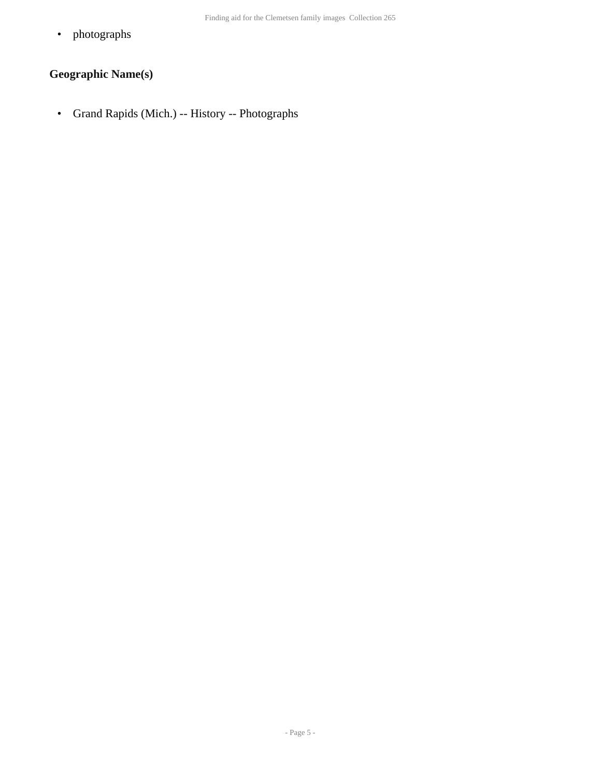• photographs

#### **Geographic Name(s)**

• Grand Rapids (Mich.) -- History -- Photographs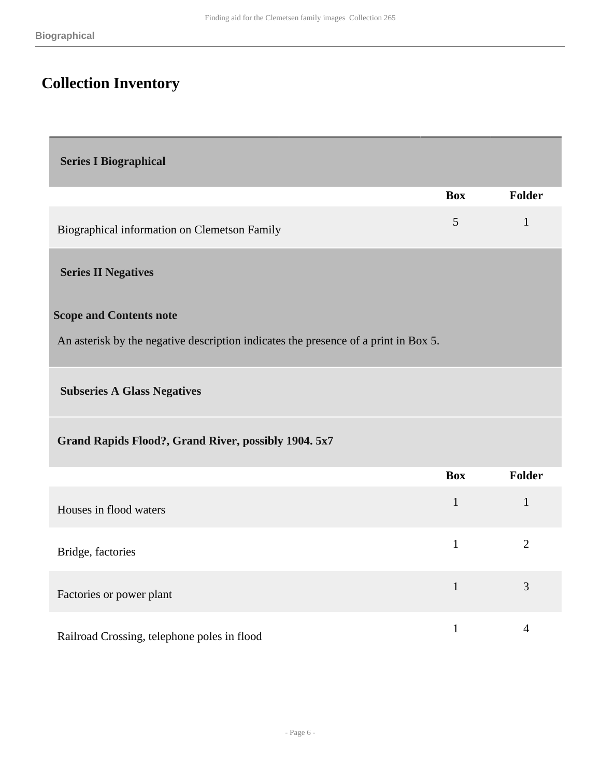# <span id="page-5-0"></span>**Collection Inventory**

<span id="page-5-2"></span><span id="page-5-1"></span>

| <b>Series I Biographical</b>                                                        |                |                |
|-------------------------------------------------------------------------------------|----------------|----------------|
|                                                                                     | <b>Box</b>     | <b>Folder</b>  |
| Biographical information on Clemetson Family                                        | $\mathfrak{S}$ | $\mathbf{1}$   |
| <b>Series II Negatives</b>                                                          |                |                |
| <b>Scope and Contents note</b>                                                      |                |                |
| An asterisk by the negative description indicates the presence of a print in Box 5. |                |                |
| <b>Subseries A Glass Negatives</b>                                                  |                |                |
| Grand Rapids Flood?, Grand River, possibly 1904. 5x7                                |                |                |
|                                                                                     | <b>Box</b>     | <b>Folder</b>  |
| Houses in flood waters                                                              | $\mathbf{1}$   | $\mathbf{1}$   |
| Bridge, factories                                                                   | $\mathbf{1}$   | $\overline{2}$ |
| Factories or power plant                                                            | $\mathbf{1}$   | 3              |

Railroad Crossing, telephone poles in flood 1 4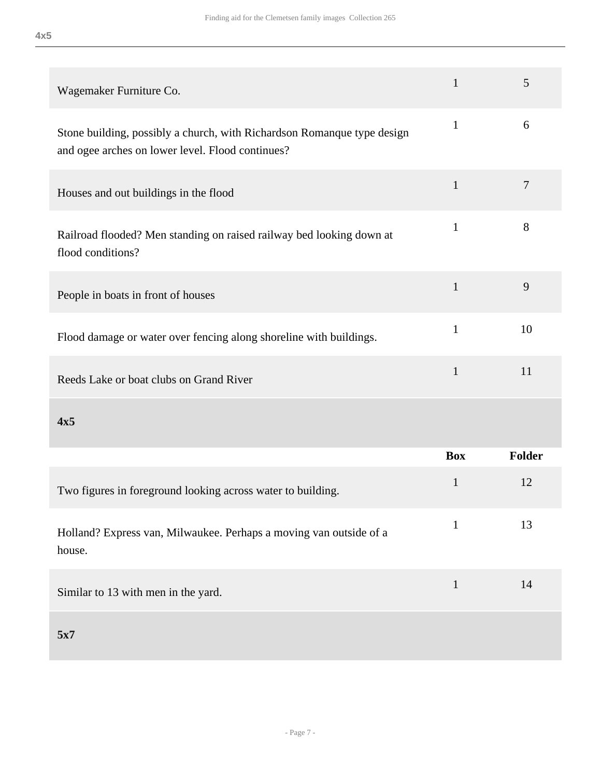| 4x5 |         |
|-----|---------|
|     |         |
|     |         |
|     | Wagamak |

| Wagemaker Furniture Co.                                                                                                     | $\mathbf{1}$ | 5             |
|-----------------------------------------------------------------------------------------------------------------------------|--------------|---------------|
| Stone building, possibly a church, with Richardson Romanque type design<br>and ogee arches on lower level. Flood continues? | $\mathbf{1}$ | 6             |
| Houses and out buildings in the flood                                                                                       | $\mathbf{1}$ | 7             |
| Railroad flooded? Men standing on raised railway bed looking down at<br>flood conditions?                                   | $\mathbf{1}$ | 8             |
| People in boats in front of houses                                                                                          | $\mathbf{1}$ | 9             |
| Flood damage or water over fencing along shoreline with buildings.                                                          | $\mathbf{1}$ | 10            |
| Reeds Lake or boat clubs on Grand River                                                                                     | $\mathbf{1}$ | 11            |
| 4x5                                                                                                                         |              |               |
|                                                                                                                             | <b>Box</b>   | <b>Folder</b> |
| Two figures in foreground looking across water to building.                                                                 | $\mathbf{1}$ | 12            |
| Holland? Express van, Milwaukee. Perhaps a moving van outside of a<br>house.                                                | $\mathbf{1}$ | 13            |
| Similar to 13 with men in the yard.                                                                                         | $\mathbf{1}$ | 14            |
| 5x7                                                                                                                         |              |               |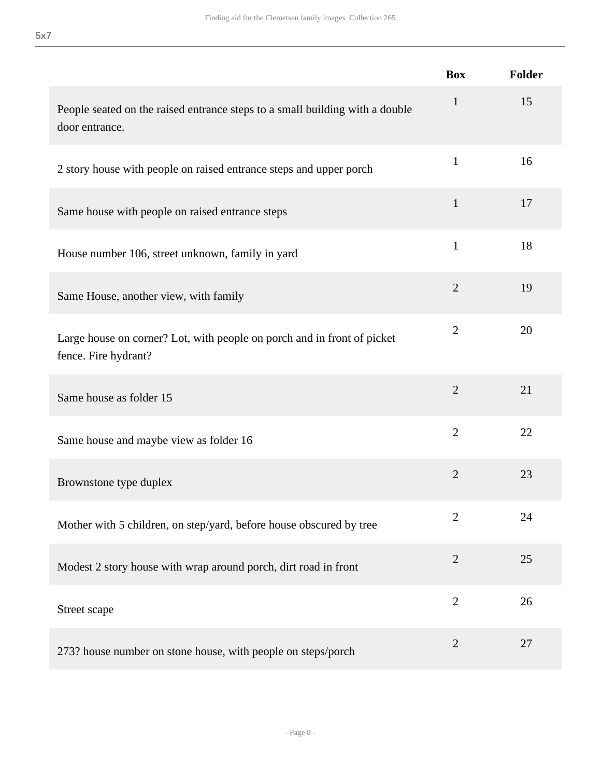|                                                                                                 | <b>Box</b>     | <b>Folder</b> |
|-------------------------------------------------------------------------------------------------|----------------|---------------|
| People seated on the raised entrance steps to a small building with a double<br>door entrance.  | $\mathbf{1}$   | 15            |
| 2 story house with people on raised entrance steps and upper porch                              | $\mathbf{1}$   | 16            |
| Same house with people on raised entrance steps                                                 | $\mathbf{1}$   | 17            |
| House number 106, street unknown, family in yard                                                | $\mathbf{1}$   | 18            |
| Same House, another view, with family                                                           | $\overline{2}$ | 19            |
| Large house on corner? Lot, with people on porch and in front of picket<br>fence. Fire hydrant? | $\overline{2}$ | 20            |
| Same house as folder 15                                                                         | $\overline{2}$ | 21            |
| Same house and maybe view as folder 16                                                          | $\overline{2}$ | 22            |
| Brownstone type duplex                                                                          | $\overline{2}$ | 23            |
| Mother with 5 children, on step/yard, before house obscured by tree                             | $\overline{2}$ | 24            |
| Modest 2 story house with wrap around porch, dirt road in front                                 | $\overline{2}$ | 25            |
| Street scape                                                                                    | $\overline{2}$ | 26            |
| 273? house number on stone house, with people on steps/porch                                    | $\overline{2}$ | 27            |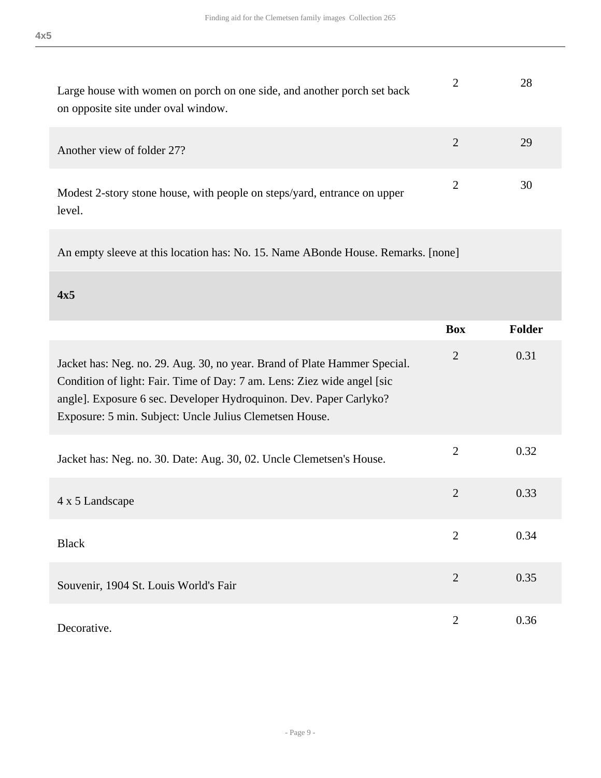| Large house with women on porch on one side, and another porch set back<br>on opposite site under oval window. | 28 |
|----------------------------------------------------------------------------------------------------------------|----|
| Another view of folder 27?                                                                                     | 29 |
| Modest 2-story stone house, with people on steps/yard, entrance on upper                                       | 30 |

An empty sleeve at this location has: No. 15. Name ABonde House. Remarks. [none]

**4x5** 

level.

|                                                                                                                                                                                                                                                                                        | <b>Box</b>     | <b>Folder</b> |
|----------------------------------------------------------------------------------------------------------------------------------------------------------------------------------------------------------------------------------------------------------------------------------------|----------------|---------------|
| Jacket has: Neg. no. 29. Aug. 30, no year. Brand of Plate Hammer Special.<br>Condition of light: Fair. Time of Day: 7 am. Lens: Ziez wide angel [sic]<br>angle]. Exposure 6 sec. Developer Hydroquinon. Dev. Paper Carlyko?<br>Exposure: 5 min. Subject: Uncle Julius Clemetsen House. | $\overline{2}$ | 0.31          |
| Jacket has: Neg. no. 30. Date: Aug. 30, 02. Uncle Clemetsen's House.                                                                                                                                                                                                                   | $\overline{2}$ | 0.32          |
| 4 x 5 Landscape                                                                                                                                                                                                                                                                        | $\overline{2}$ | 0.33          |
| <b>Black</b>                                                                                                                                                                                                                                                                           | $\overline{2}$ | 0.34          |
| Souvenir, 1904 St. Louis World's Fair                                                                                                                                                                                                                                                  | $\overline{2}$ | 0.35          |
| Decorative.                                                                                                                                                                                                                                                                            | $\overline{2}$ | 0.36          |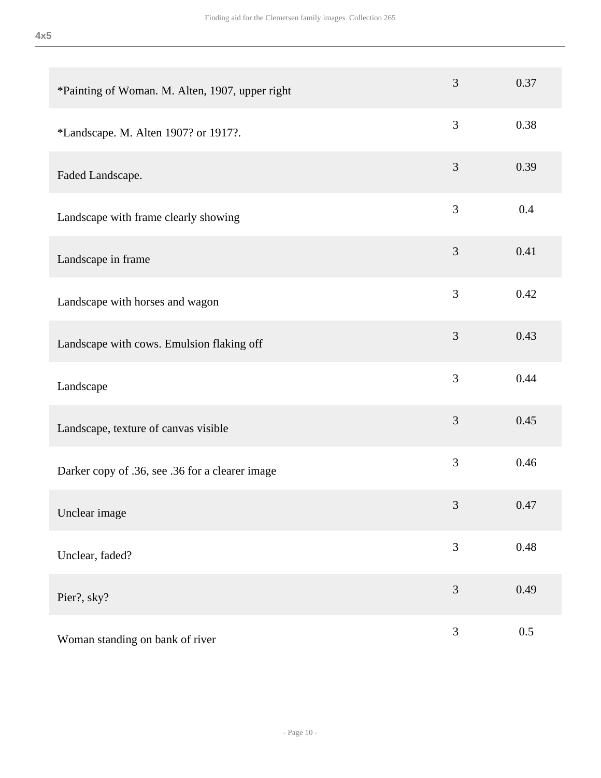| *Painting of Woman. M. Alten, 1907, upper right | 3              | 0.37    |
|-------------------------------------------------|----------------|---------|
| *Landscape. M. Alten 1907? or 1917?.            | 3              | 0.38    |
| Faded Landscape.                                | 3              | 0.39    |
| Landscape with frame clearly showing            | 3              | 0.4     |
| Landscape in frame                              | 3              | 0.41    |
| Landscape with horses and wagon                 | 3              | 0.42    |
| Landscape with cows. Emulsion flaking off       | 3              | 0.43    |
| Landscape                                       | 3              | 0.44    |
| Landscape, texture of canvas visible            | 3              | 0.45    |
| Darker copy of .36, see .36 for a clearer image | 3              | 0.46    |
| Unclear image                                   | $\mathfrak{Z}$ | 0.47    |
| Unclear, faded?                                 | 3              | 0.48    |
| Pier?, sky?                                     | 3              | 0.49    |
| Woman standing on bank of river                 | $\mathfrak{Z}$ | $0.5\,$ |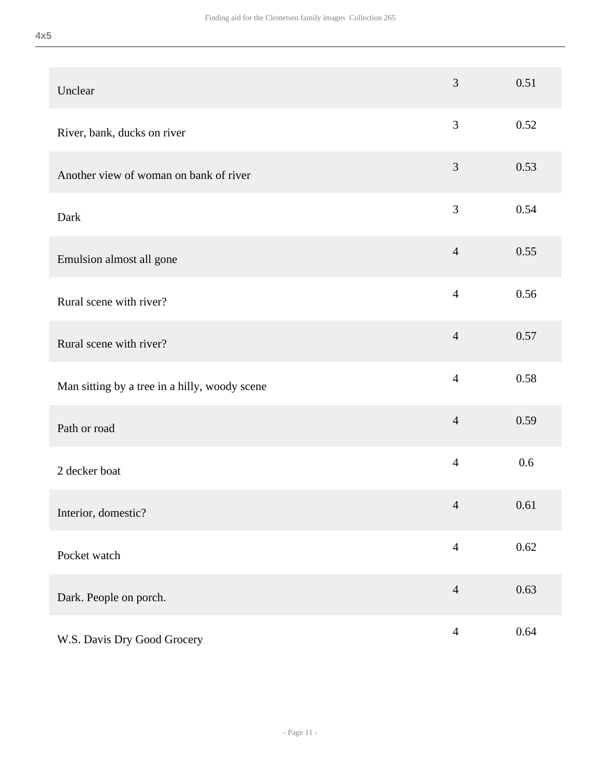| Unclear                                       | $\overline{3}$ | 0.51 |
|-----------------------------------------------|----------------|------|
| River, bank, ducks on river                   | $\mathfrak{Z}$ | 0.52 |
| Another view of woman on bank of river        | $\mathfrak{Z}$ | 0.53 |
| Dark                                          | 3              | 0.54 |
| Emulsion almost all gone                      | $\overline{4}$ | 0.55 |
| Rural scene with river?                       | $\overline{4}$ | 0.56 |
| Rural scene with river?                       | $\overline{4}$ | 0.57 |
| Man sitting by a tree in a hilly, woody scene | $\overline{4}$ | 0.58 |
| Path or road                                  | $\overline{4}$ | 0.59 |
| 2 decker boat                                 | $\overline{4}$ | 0.6  |
| Interior, domestic?                           | $\overline{4}$ | 0.61 |
| Pocket watch                                  | $\overline{4}$ | 0.62 |
| Dark. People on porch.                        | $\overline{4}$ | 0.63 |
| W.S. Davis Dry Good Grocery                   | $\overline{4}$ | 0.64 |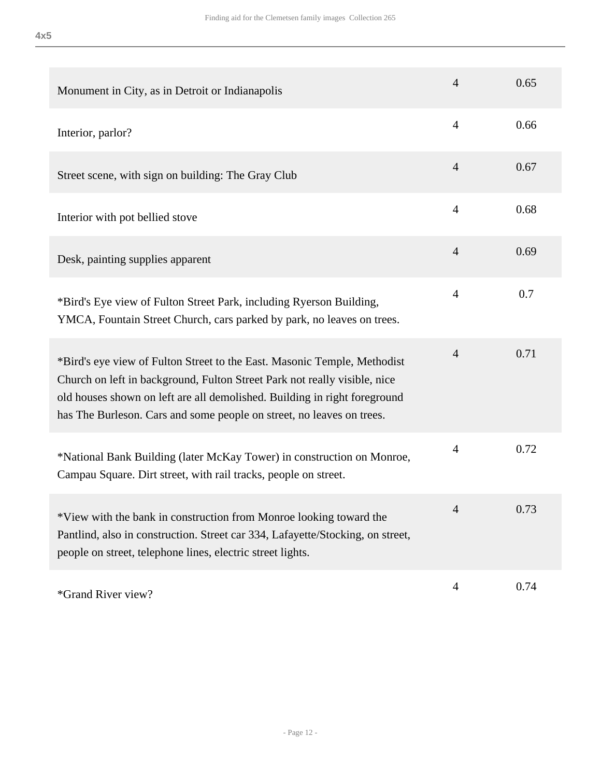| Monument in City, as in Detroit or Indianapolis                                                                                                                                                                                                                                                             | $\overline{4}$ | 0.65 |
|-------------------------------------------------------------------------------------------------------------------------------------------------------------------------------------------------------------------------------------------------------------------------------------------------------------|----------------|------|
| Interior, parlor?                                                                                                                                                                                                                                                                                           | $\overline{4}$ | 0.66 |
| Street scene, with sign on building: The Gray Club                                                                                                                                                                                                                                                          | $\overline{4}$ | 0.67 |
| Interior with pot bellied stove                                                                                                                                                                                                                                                                             | $\overline{4}$ | 0.68 |
| Desk, painting supplies apparent                                                                                                                                                                                                                                                                            | $\overline{4}$ | 0.69 |
| *Bird's Eye view of Fulton Street Park, including Ryerson Building,<br>YMCA, Fountain Street Church, cars parked by park, no leaves on trees.                                                                                                                                                               | $\overline{4}$ | 0.7  |
| *Bird's eye view of Fulton Street to the East. Masonic Temple, Methodist<br>Church on left in background, Fulton Street Park not really visible, nice<br>old houses shown on left are all demolished. Building in right foreground<br>has The Burleson. Cars and some people on street, no leaves on trees. | $\overline{4}$ | 0.71 |
| *National Bank Building (later McKay Tower) in construction on Monroe,<br>Campau Square. Dirt street, with rail tracks, people on street.                                                                                                                                                                   | $\overline{4}$ | 0.72 |
| *View with the bank in construction from Monroe looking toward the<br>Pantlind, also in construction. Street car 334, Lafayette/Stocking, on street,<br>people on street, telephone lines, electric street lights.                                                                                          | 4              | 0.73 |
|                                                                                                                                                                                                                                                                                                             | 4              | 0.74 |

\*Grand River view? <sup>4</sup> 0.74